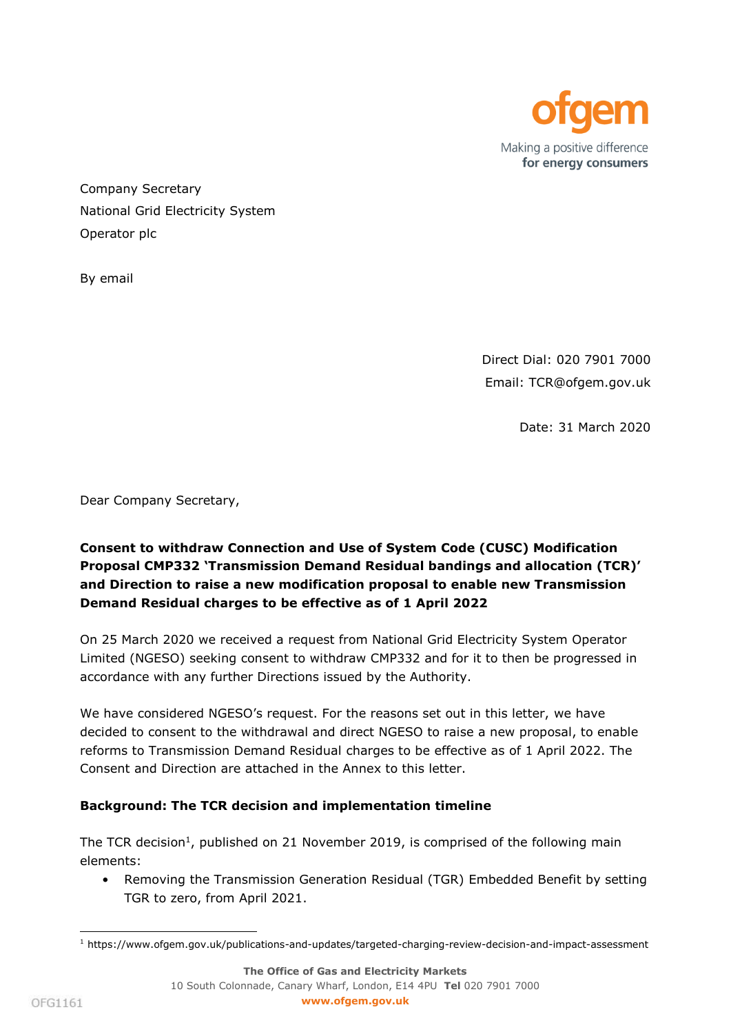

Company Secretary National Grid Electricity System Operator plc

By email

Direct Dial: 020 7901 7000 Email: TCR@ofgem.gov.uk

Date: 31 March 2020

Dear Company Secretary,

# **Consent to withdraw Connection and Use of System Code (CUSC) Modification Proposal CMP332 'Transmission Demand Residual bandings and allocation (TCR)' and Direction to raise a new modification proposal to enable new Transmission Demand Residual charges to be effective as of 1 April 2022**

On 25 March 2020 we received a request from National Grid Electricity System Operator Limited (NGESO) seeking consent to withdraw CMP332 and for it to then be progressed in accordance with any further Directions issued by the Authority.

We have considered NGESO's request. For the reasons set out in this letter, we have decided to consent to the withdrawal and direct NGESO to raise a new proposal, to enable reforms to Transmission Demand Residual charges to be effective as of 1 April 2022. The Consent and Direction are attached in the Annex to this letter.

### **Background: The TCR decision and implementation timeline**

The TCR decision<sup>1</sup>, published on 21 November 2019, is comprised of the following main elements:

• Removing the Transmission Generation Residual (TGR) Embedded Benefit by setting TGR to zero, from April 2021.

ł

<sup>1</sup> https://www.ofgem.gov.uk/publications-and-updates/targeted-charging-review-decision-and-impact-assessment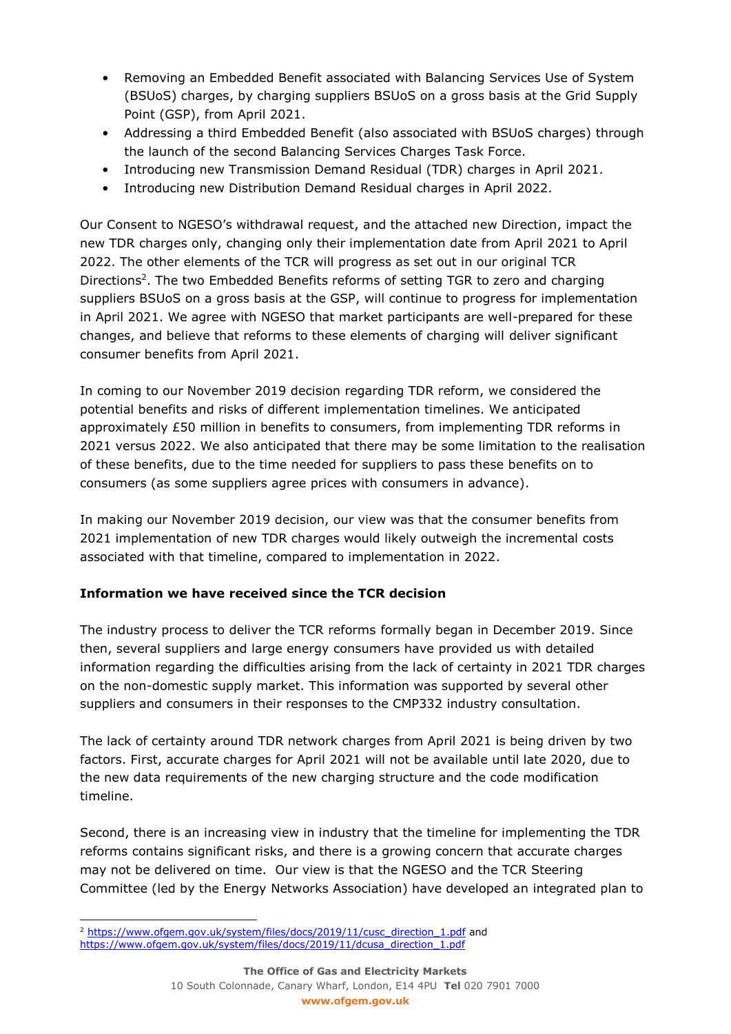- Removing an Embedded Benefit associated with Balancing Services Use of System (BSUoS) charges, by charging suppliers BSUoS on a gross basis at the Grid Supply Point (GSP), from April 2021.
- Addressing a third Embedded Benefit (also associated with BSUoS charges) through the launch of the second Balancing Services Charges Task Force.
- Introducing new Transmission Demand Residual (TDR) charges in April 2021.
- Introducing new Distribution Demand Residual charges in April 2022.

Our Consent to NGESO's withdrawal request, and the attached new Direction, impact the new TDR charges only, changing only their implementation date from April 2021 to April 2022. The other elements of the TCR will progress as set out in our original TCR Directions<sup>2</sup>. The two Embedded Benefits reforms of setting TGR to zero and charging suppliers BSUoS on a gross basis at the GSP, will continue to progress for implementation in April 2021. We agree with NGESO that market participants are well-prepared for these changes, and believe that reforms to these elements of charging will deliver significant consumer benefits from April 2021.

In coming to our November 2019 decision regarding TDR reform, we considered the potential benefits and risks of different implementation timelines. We anticipated approximately £50 million in benefits to consumers, from implementing TDR reforms in 2021 versus 2022. We also anticipated that there may be some limitation to the realisation of these benefits, due to the time needed for suppliers to pass these benefits on to consumers (as some suppliers agree prices with consumers in advance).

In making our November 2019 decision, our view was that the consumer benefits from 2021 implementation of new TDR charges would likely outweigh the incremental costs associated with that timeline, compared to implementation in 2022.

## **Information we have received since the TCR decision**

The industry process to deliver the TCR reforms formally began in December 2019. Since then, several suppliers and large energy consumers have provided us with detailed information regarding the difficulties arising from the lack of certainty in 2021 TDR charges on the non-domestic supply market. This information was supported by several other suppliers and consumers in their responses to the CMP332 industry consultation.

The lack of certainty around TDR network charges from April 2021 is being driven by two factors. First, accurate charges for April 2021 will not be available until late 2020, due to the new data requirements of the new charging structure and the code modification timeline.

Second, there is an increasing view in industry that the timeline for implementing the TDR reforms contains significant risks, and there is a growing concern that accurate charges may not be delivered on time. Our view is that the NGESO and the TCR Steering Committee (led by the Energy Networks Association) have developed an integrated plan to

ł <sup>2</sup> [https://www.ofgem.gov.uk/system/files/docs/2019/11/cusc\\_direction\\_1.pdf](https://www.ofgem.gov.uk/system/files/docs/2019/11/cusc_direction_1.pdf) and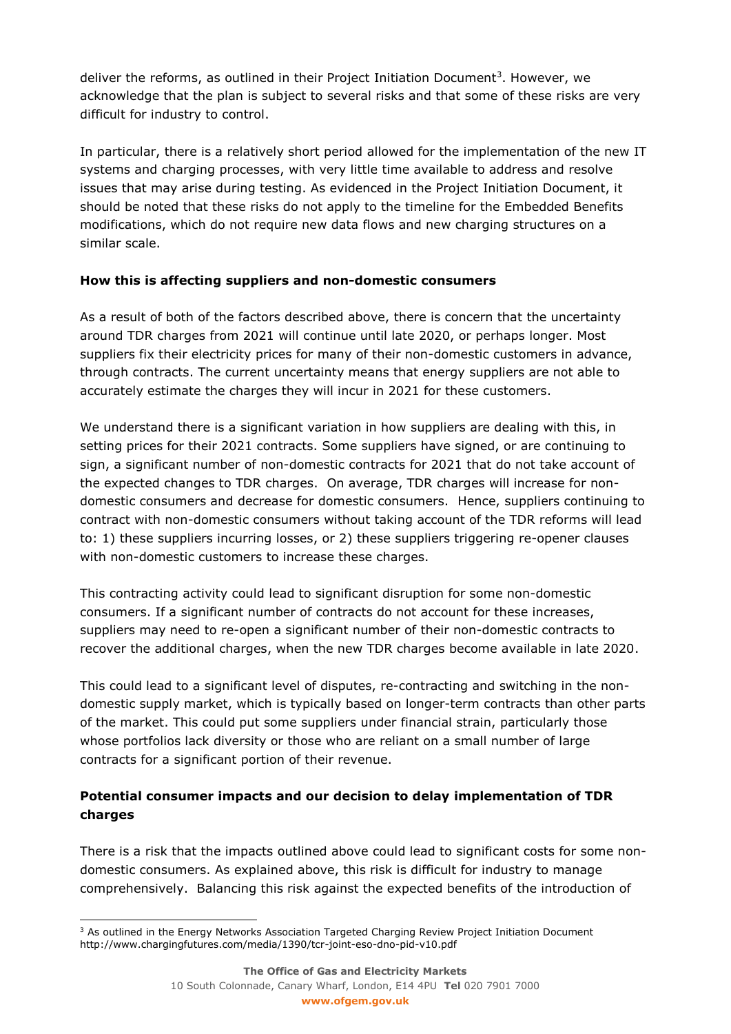deliver the reforms, as outlined in their Project Initiation Document<sup>3</sup>. However, we acknowledge that the plan is subject to several risks and that some of these risks are very difficult for industry to control.

In particular, there is a relatively short period allowed for the implementation of the new IT systems and charging processes, with very little time available to address and resolve issues that may arise during testing. As evidenced in the Project Initiation Document, it should be noted that these risks do not apply to the timeline for the Embedded Benefits modifications, which do not require new data flows and new charging structures on a similar scale.

## **How this is affecting suppliers and non-domestic consumers**

As a result of both of the factors described above, there is concern that the uncertainty around TDR charges from 2021 will continue until late 2020, or perhaps longer. Most suppliers fix their electricity prices for many of their non-domestic customers in advance, through contracts. The current uncertainty means that energy suppliers are not able to accurately estimate the charges they will incur in 2021 for these customers.

We understand there is a significant variation in how suppliers are dealing with this, in setting prices for their 2021 contracts. Some suppliers have signed, or are continuing to sign, a significant number of non-domestic contracts for 2021 that do not take account of the expected changes to TDR charges. On average, TDR charges will increase for nondomestic consumers and decrease for domestic consumers. Hence, suppliers continuing to contract with non-domestic consumers without taking account of the TDR reforms will lead to: 1) these suppliers incurring losses, or 2) these suppliers triggering re-opener clauses with non-domestic customers to increase these charges.

This contracting activity could lead to significant disruption for some non-domestic consumers. If a significant number of contracts do not account for these increases, suppliers may need to re-open a significant number of their non-domestic contracts to recover the additional charges, when the new TDR charges become available in late 2020.

This could lead to a significant level of disputes, re-contracting and switching in the nondomestic supply market, which is typically based on longer-term contracts than other parts of the market. This could put some suppliers under financial strain, particularly those whose portfolios lack diversity or those who are reliant on a small number of large contracts for a significant portion of their revenue.

# **Potential consumer impacts and our decision to delay implementation of TDR charges**

There is a risk that the impacts outlined above could lead to significant costs for some nondomestic consumers. As explained above, this risk is difficult for industry to manage comprehensively. Balancing this risk against the expected benefits of the introduction of

ł <sup>3</sup> As outlined in the Energy Networks Association Targeted Charging Review Project Initiation Document http://www.chargingfutures.com/media/1390/tcr-joint-eso-dno-pid-v10.pdf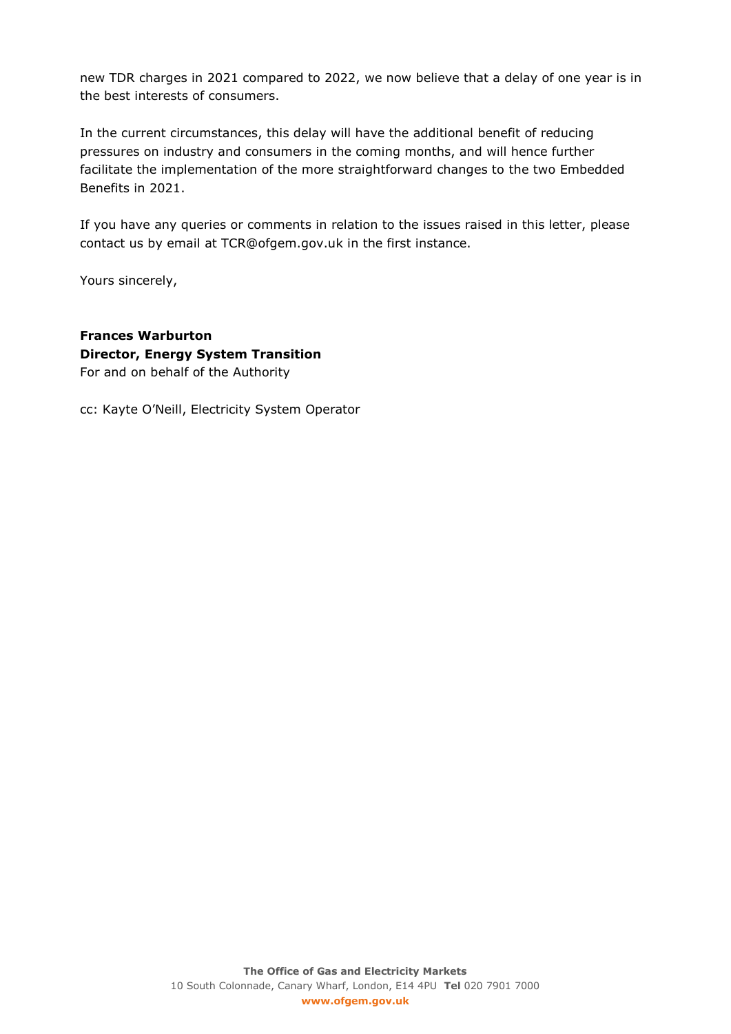new TDR charges in 2021 compared to 2022, we now believe that a delay of one year is in the best interests of consumers.

In the current circumstances, this delay will have the additional benefit of reducing pressures on industry and consumers in the coming months, and will hence further facilitate the implementation of the more straightforward changes to the two Embedded Benefits in 2021.

If you have any queries or comments in relation to the issues raised in this letter, please contact us by email at TCR@ofgem.gov.uk in the first instance.

Yours sincerely,

**Frances Warburton Director, Energy System Transition** For and on behalf of the Authority

cc: Kayte O'Neill, Electricity System Operator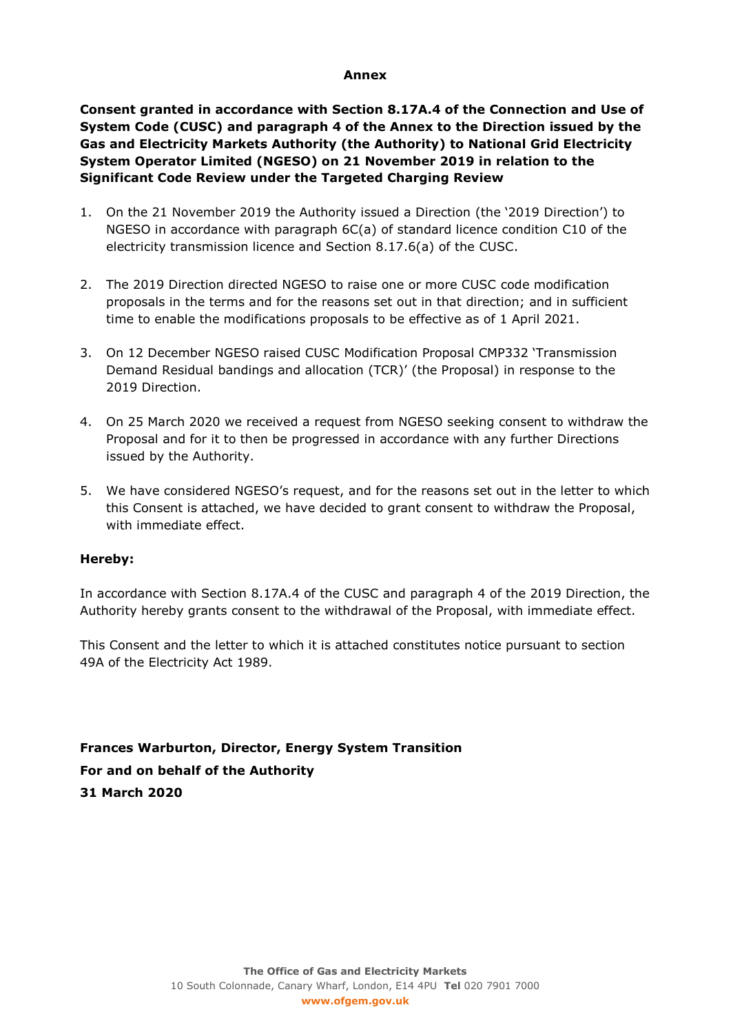#### **Annex**

**Consent granted in accordance with Section 8.17A.4 of the Connection and Use of System Code (CUSC) and paragraph 4 of the Annex to the Direction issued by the Gas and Electricity Markets Authority (the Authority) to National Grid Electricity System Operator Limited (NGESO) on 21 November 2019 in relation to the Significant Code Review under the Targeted Charging Review**

- 1. On the 21 November 2019 the Authority issued a Direction (the '2019 Direction') to NGESO in accordance with paragraph 6C(a) of standard licence condition C10 of the electricity transmission licence and Section 8.17.6(a) of the CUSC.
- 2. The 2019 Direction directed NGESO to raise one or more CUSC code modification proposals in the terms and for the reasons set out in that direction; and in sufficient time to enable the modifications proposals to be effective as of 1 April 2021.
- 3. On 12 December NGESO raised CUSC Modification Proposal CMP332 'Transmission Demand Residual bandings and allocation (TCR)' (the Proposal) in response to the 2019 Direction.
- 4. On 25 March 2020 we received a request from NGESO seeking consent to withdraw the Proposal and for it to then be progressed in accordance with any further Directions issued by the Authority.
- 5. We have considered NGESO's request, and for the reasons set out in the letter to which this Consent is attached, we have decided to grant consent to withdraw the Proposal, with immediate effect.

#### **Hereby:**

In accordance with Section 8.17A.4 of the CUSC and paragraph 4 of the 2019 Direction, the Authority hereby grants consent to the withdrawal of the Proposal, with immediate effect.

This Consent and the letter to which it is attached constitutes notice pursuant to section 49A of the Electricity Act 1989.

**Frances Warburton, Director, Energy System Transition For and on behalf of the Authority 31 March 2020**